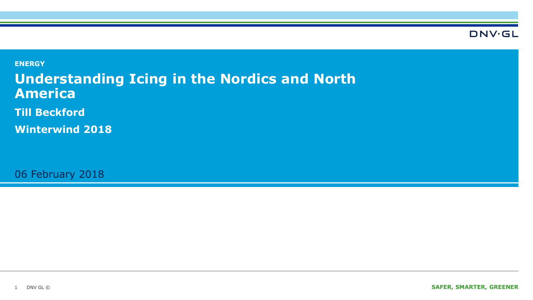**DNV·GL** 

**ENERGY Understanding Icing in the Nordics and North America Till Beckford**

**Winterwind 2018**

06 February 2018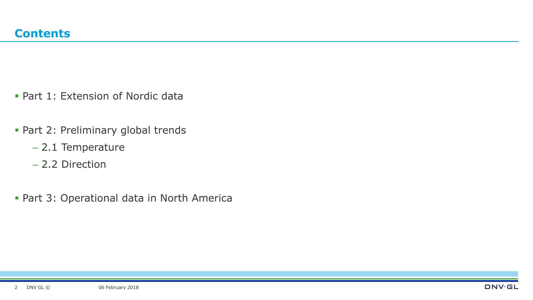- **Part 1: Extension of Nordic data**
- **Part 2: Preliminary global trends** 
	- 2.1 Temperature
	- 2.2 Direction
- **Part 3: Operational data in North America**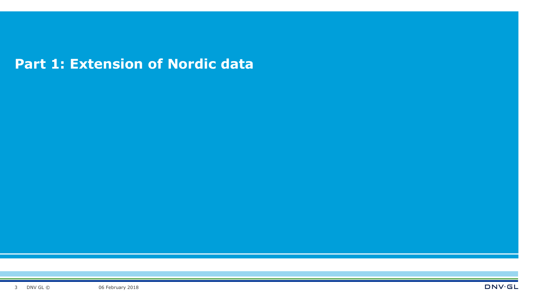### **Part 1: Extension of Nordic data**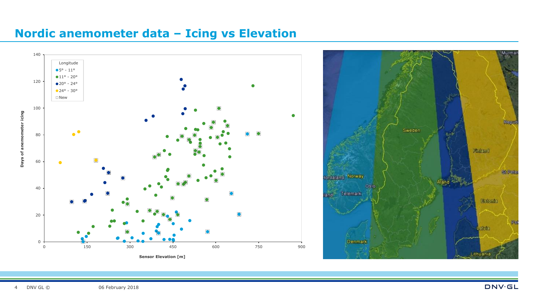





DNV.GL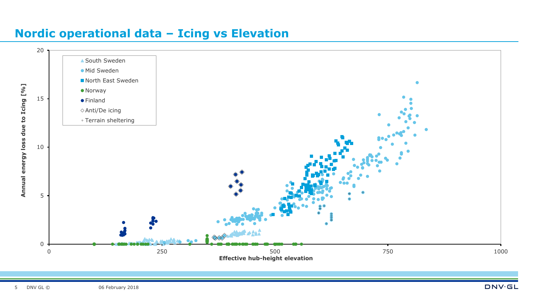### **Nordic operational data – Icing vs Elevation**

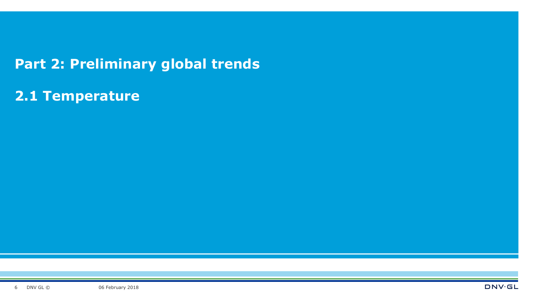### **Part 2: Preliminary global trends**

**2.1 Temperature**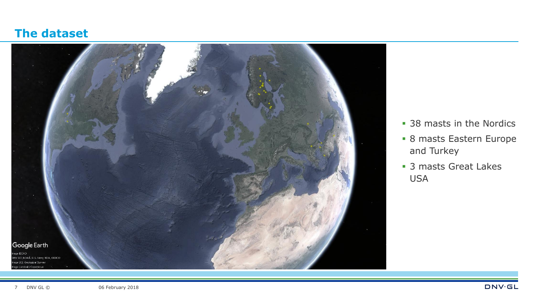#### **The dataset**



- **38 masts in the Nordics**
- 8 masts Eastern Europe and Turkey
- **3 masts Great Lakes** USA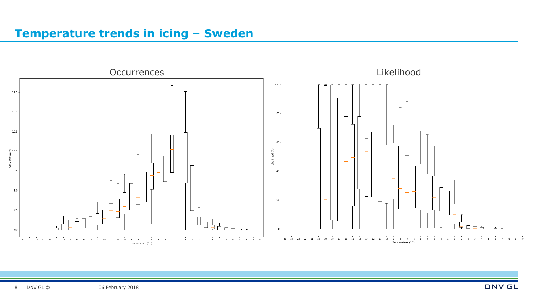#### **Temperature trends in icing – Sweden**

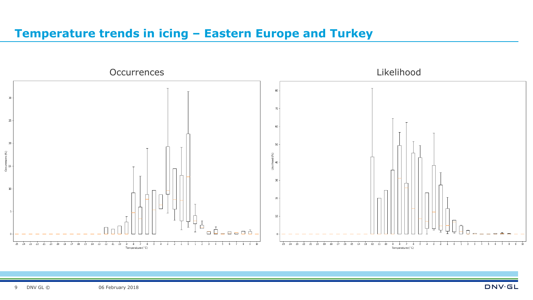#### **Temperature trends in icing – Eastern Europe and Turkey**



**DNV·GL**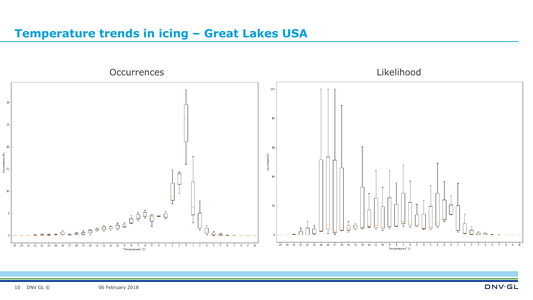#### **Temperature trends in icing – Great Lakes USA**

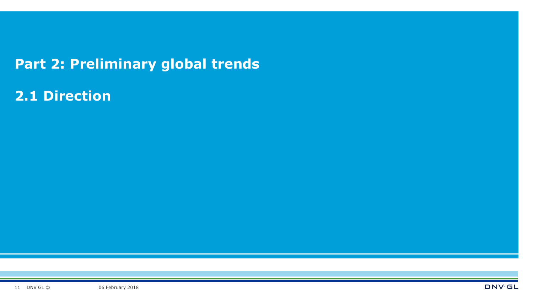### **Part 2: Preliminary global trends**

**2.1 Direction**

06 February 2018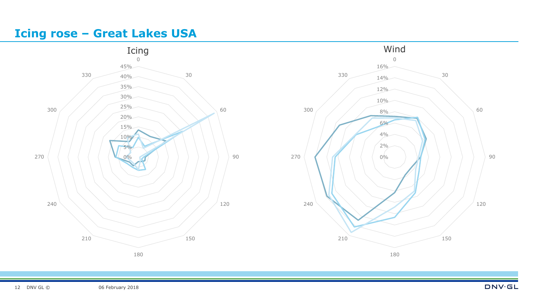#### **Icing rose – Great Lakes USA**

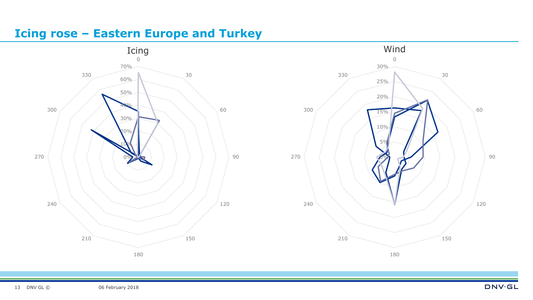#### **Icing rose – Eastern Europe and Turkey**



![](_page_12_Figure_2.jpeg)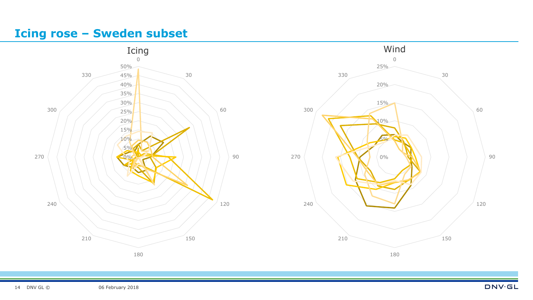#### **Icing rose – Sweden subset**

![](_page_13_Figure_1.jpeg)

![](_page_13_Figure_2.jpeg)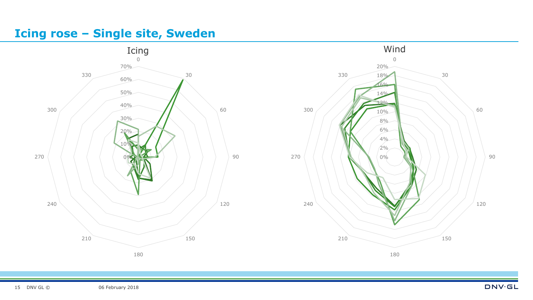#### **Icing rose – Single site, Sweden**

![](_page_14_Figure_1.jpeg)

![](_page_14_Figure_2.jpeg)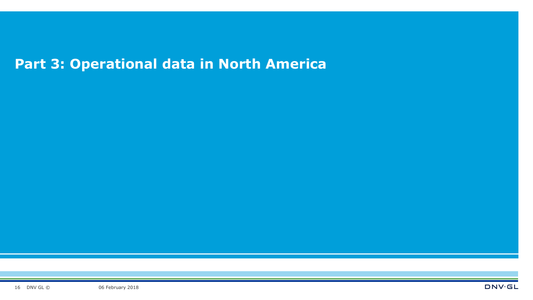# **Part 3: Operational data in North America**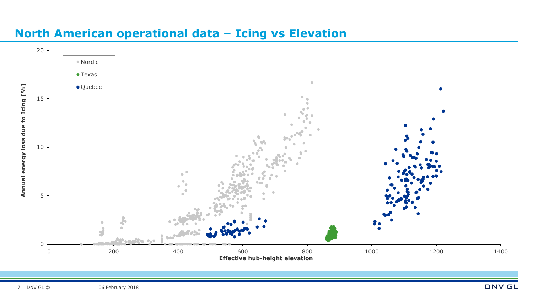![](_page_16_Figure_0.jpeg)

### **North American operational data – Icing vs Elevation**

**DNV**GL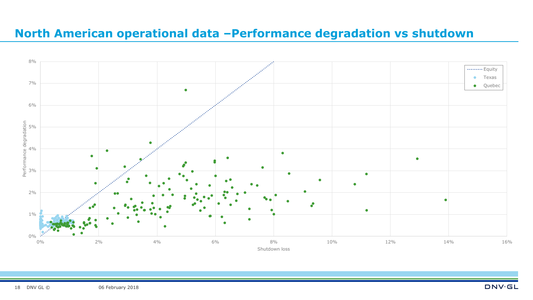#### **North American operational data –Performance degradation vs shutdown**

![](_page_17_Figure_1.jpeg)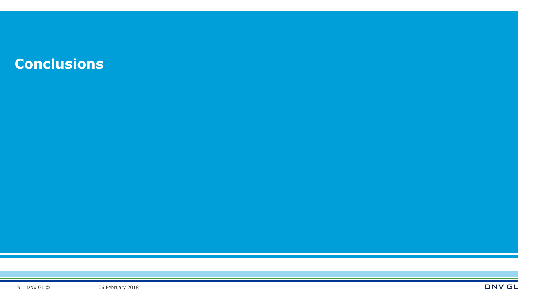## **Conclusions**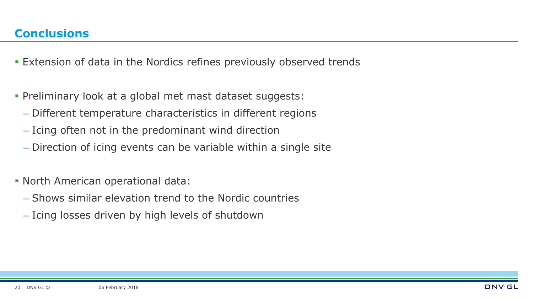- Extension of data in the Nordics refines previously observed trends
- Preliminary look at a global met mast dataset suggests:
	- Different temperature characteristics in different regions
	- Icing often not in the predominant wind direction
	- Direction of icing events can be variable within a single site
- North American operational data:
	- Shows similar elevation trend to the Nordic countries
	- Icing losses driven by high levels of shutdown